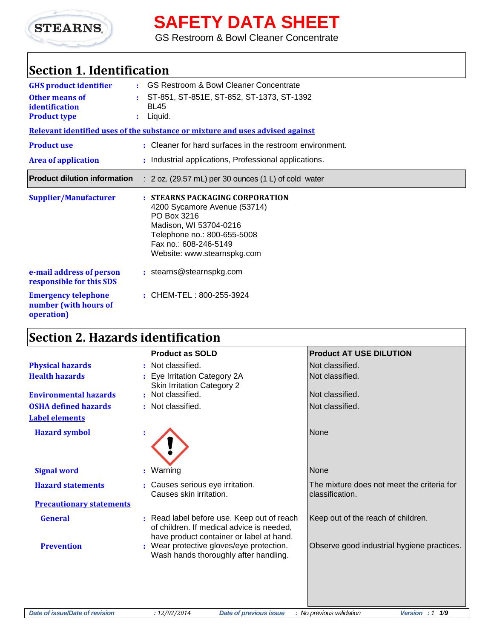

**SAFETY DATA SHEET**

GS Restroom & Bowl Cleaner Concentrate

## **Section 1. Identification**

| <b>GHS product identifier</b><br>Other means of                   | ÷. | <b>GS Restroom &amp; Bowl Cleaner Concentrate</b><br>ST-851, ST-851E, ST-852, ST-1373, ST-1392                                                                                                  |
|-------------------------------------------------------------------|----|-------------------------------------------------------------------------------------------------------------------------------------------------------------------------------------------------|
| identification                                                    |    | <b>BL45</b>                                                                                                                                                                                     |
| <b>Product type</b>                                               |    | $:$ Liquid.                                                                                                                                                                                     |
|                                                                   |    | Relevant identified uses of the substance or mixture and uses advised against                                                                                                                   |
| <b>Product use</b>                                                |    | : Cleaner for hard surfaces in the restroom environment.                                                                                                                                        |
| <b>Area of application</b>                                        |    | : Industrial applications, Professional applications.                                                                                                                                           |
| <b>Product dilution information</b>                               |    | $: 2$ oz. (29.57 mL) per 30 ounces (1 L) of cold water                                                                                                                                          |
| <b>Supplier/Manufacturer</b>                                      |    | : STEARNS PACKAGING CORPORATION<br>4200 Sycamore Avenue (53714)<br>PO Box 3216<br>Madison, WI 53704-0216<br>Telephone no.: 800-655-5008<br>Fax no.: 608-246-5149<br>Website: www.stearnspkg.com |
| e-mail address of person<br>responsible for this SDS              |    | : stearns@stearnspkg.com                                                                                                                                                                        |
| <b>Emergency telephone</b><br>number (with hours of<br>operation) |    | : CHEM-TEL: 800-255-3924                                                                                                                                                                        |

# **Section 2. Hazards identification**

|                                 | <b>Product as SOLD</b>                                                                                                              | <b>Product AT USE DILUTION</b>                                |
|---------------------------------|-------------------------------------------------------------------------------------------------------------------------------------|---------------------------------------------------------------|
| <b>Physical hazards</b>         | : Not classified.                                                                                                                   | Not classified.                                               |
| <b>Health hazards</b>           | : Eye Irritation Category 2A<br><b>Skin Irritation Category 2</b>                                                                   | Not classified.                                               |
| <b>Environmental hazards</b>    | : Not classified.                                                                                                                   | Not classified.                                               |
| <b>OSHA defined hazards</b>     | : Not classified.                                                                                                                   | Not classified.                                               |
| <b>Label elements</b>           |                                                                                                                                     |                                                               |
| <b>Hazard symbol</b>            |                                                                                                                                     | None                                                          |
| <b>Signal word</b>              | : Warning                                                                                                                           | <b>None</b>                                                   |
| <b>Hazard statements</b>        | : Causes serious eye irritation.<br>Causes skin irritation.                                                                         | The mixture does not meet the criteria for<br>classification. |
| <b>Precautionary statements</b> |                                                                                                                                     |                                                               |
| <b>General</b>                  | : Read label before use. Keep out of reach<br>of children. If medical advice is needed,<br>have product container or label at hand. | Keep out of the reach of children.                            |
| <b>Prevention</b>               | : Wear protective gloves/eye protection.<br>Wash hands thoroughly after handling.                                                   | Observe good industrial hygiene practices.                    |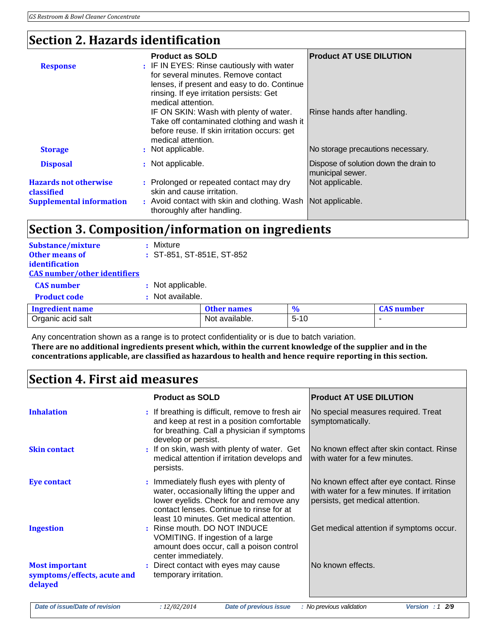## **Section 2. Hazards identification**

| <b>Response</b>                                                               | <b>Product as SOLD</b><br>: IF IN EYES: Rinse cautiously with water<br>for several minutes. Remove contact<br>lenses, if present and easy to do. Continue<br>rinsing. If eye irritation persists: Get<br>medical attention. | <b>Product AT USE DILUTION</b>                                   |
|-------------------------------------------------------------------------------|-----------------------------------------------------------------------------------------------------------------------------------------------------------------------------------------------------------------------------|------------------------------------------------------------------|
| <b>Storage</b>                                                                | IF ON SKIN: Wash with plenty of water.<br>Take off contaminated clothing and wash it<br>before reuse. If skin irritation occurs: get<br>medical attention.<br>: Not applicable.                                             | Rinse hands after handling.<br>No storage precautions necessary. |
| <b>Disposal</b>                                                               | : Not applicable.                                                                                                                                                                                                           | Dispose of solution down the drain to<br>municipal sewer.        |
| <b>Hazards not otherwise</b><br>classified<br><b>Supplemental information</b> | : Prolonged or repeated contact may dry<br>skin and cause irritation.<br>: Avoid contact with skin and clothing. Wash Not applicable.<br>thoroughly after handling.                                                         | Not applicable.                                                  |

## **Section 3. Composition/information on ingredients**

| <b>Substance/mixture</b><br><b>Other means of</b><br>identification<br><b>CAS number/other identifiers</b> | Mixture<br>: ST-851, ST-851E, ST-852 |                    |          |                   |
|------------------------------------------------------------------------------------------------------------|--------------------------------------|--------------------|----------|-------------------|
| <b>CAS</b> number                                                                                          | : Not applicable.                    |                    |          |                   |
| <b>Product code</b>                                                                                        | : Not available.                     |                    |          |                   |
| <b>Ingredient name</b>                                                                                     |                                      | <b>Other names</b> | $\%$     | <b>CAS</b> number |
| Organic acid salt                                                                                          |                                      | Not available.     | $5 - 10$ |                   |

Any concentration shown as a range is to protect confidentiality or is due to batch variation. **There are no additional ingredients present which, within the current knowledge of the supplier and in the concentrations applicable, are classified as hazardous to health and hence require reporting in this section.**

## **Section 4. First aid measures**

|                                                                 | <b>Product as SOLD</b>                                                                                                                                                                                                  | <b>Product AT USE DILUTION</b>                                                                                              |
|-----------------------------------------------------------------|-------------------------------------------------------------------------------------------------------------------------------------------------------------------------------------------------------------------------|-----------------------------------------------------------------------------------------------------------------------------|
| <b>Inhalation</b>                                               | : If breathing is difficult, remove to fresh air<br>and keep at rest in a position comfortable<br>for breathing. Call a physician if symptoms<br>develop or persist.                                                    | No special measures required. Treat<br>symptomatically.                                                                     |
| <b>Skin contact</b>                                             | : If on skin, wash with plenty of water. Get<br>medical attention if irritation develops and<br>persists.                                                                                                               | INo known effect after skin contact. Rinse<br>with water for a few minutes.                                                 |
| <b>Eye contact</b>                                              | : Immediately flush eyes with plenty of<br>water, occasionally lifting the upper and<br>lower eyelids. Check for and remove any<br>contact lenses. Continue to rinse for at<br>least 10 minutes. Get medical attention. | No known effect after eye contact. Rinse<br>with water for a few minutes. If irritation<br>persists, get medical attention. |
| <b>Ingestion</b>                                                | : Rinse mouth. DO NOT INDUCE<br>VOMITING. If ingestion of a large<br>amount does occur, call a poison control<br>center immediately.                                                                                    | Get medical attention if symptoms occur.                                                                                    |
| <b>Most important</b><br>symptoms/effects, acute and<br>delayed | : Direct contact with eyes may cause<br>temporary irritation.                                                                                                                                                           | No known effects.                                                                                                           |
| Date of issue/Date of revision                                  | Date of previous issue<br>: 12/02/2014                                                                                                                                                                                  | : No previous validation<br>Version : $12/9$                                                                                |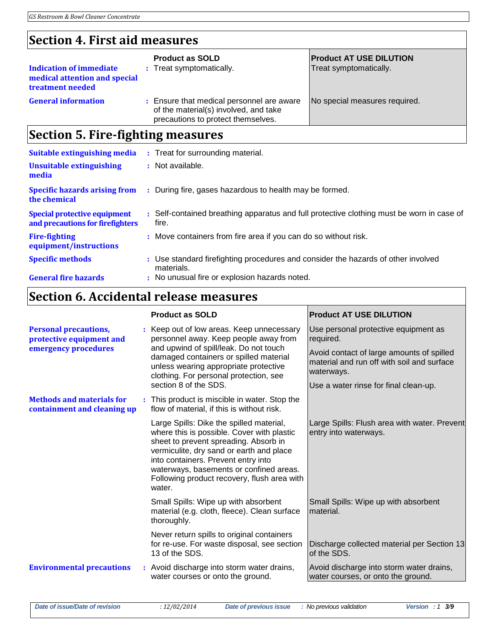## **Section 4. First aid measures**

| <b>Indication of immediate</b><br>medical attention and special<br>treatment needed | <b>Product as SOLD</b><br>Treat symptomatically.<br>÷.                                                                 | <b>Product AT USE DILUTION</b><br>Treat symptomatically. |
|-------------------------------------------------------------------------------------|------------------------------------------------------------------------------------------------------------------------|----------------------------------------------------------|
| <b>General information</b>                                                          | Ensure that medical personnel are aware<br>of the material(s) involved, and take<br>precautions to protect themselves. | No special measures required.                            |

## **Section 5. Fire-fighting measures**

| Suitable extinguishing media                                            | : Treat for surrounding material.                                                                  |
|-------------------------------------------------------------------------|----------------------------------------------------------------------------------------------------|
| Unsuitable extinguishing<br>media                                       | : Not available.                                                                                   |
| <b>Specific hazards arising from</b><br>the chemical                    | : During fire, gases hazardous to health may be formed.                                            |
| <b>Special protective equipment</b><br>and precautions for firefighters | : Self-contained breathing apparatus and full protective clothing must be worn in case of<br>fire. |
| <b>Fire-fighting</b><br>equipment/instructions                          | : Move containers from fire area if you can do so without risk.                                    |
| <b>Specific methods</b>                                                 | : Use standard firefighting procedures and consider the hazards of other involved<br>materials.    |
| <b>General fire hazards</b>                                             | : No unusual fire or explosion hazards noted.                                                      |

## **Section 6. Accidental release measures**

|                                                                 |  | <b>Product as SOLD</b>                                                                                                                                                                                                                                                                                                 | <b>Product AT USE DILUTION</b>                                                                        |
|-----------------------------------------------------------------|--|------------------------------------------------------------------------------------------------------------------------------------------------------------------------------------------------------------------------------------------------------------------------------------------------------------------------|-------------------------------------------------------------------------------------------------------|
| <b>Personal precautions,</b><br>protective equipment and        |  | : Keep out of low areas. Keep unnecessary<br>personnel away. Keep people away from<br>and upwind of spill/leak. Do not touch<br>damaged containers or spilled material<br>unless wearing appropriate protective<br>clothing. For personal protection, see                                                              | Use personal protective equipment as<br>required.                                                     |
| emergency procedures                                            |  |                                                                                                                                                                                                                                                                                                                        | Avoid contact of large amounts of spilled<br>material and run off with soil and surface<br>waterways. |
|                                                                 |  | section 8 of the SDS.                                                                                                                                                                                                                                                                                                  | Use a water rinse for final clean-up.                                                                 |
| <b>Methods and materials for</b><br>containment and cleaning up |  | : This product is miscible in water. Stop the<br>flow of material, if this is without risk.                                                                                                                                                                                                                            |                                                                                                       |
|                                                                 |  | Large Spills: Dike the spilled material,<br>where this is possible. Cover with plastic<br>sheet to prevent spreading. Absorb in<br>vermiculite, dry sand or earth and place<br>into containers. Prevent entry into<br>waterways, basements or confined areas.<br>Following product recovery, flush area with<br>water. | Large Spills: Flush area with water. Prevent<br>entry into waterways.                                 |
|                                                                 |  | Small Spills: Wipe up with absorbent<br>material (e.g. cloth, fleece). Clean surface<br>thoroughly.                                                                                                                                                                                                                    | Small Spills: Wipe up with absorbent<br>material.                                                     |
|                                                                 |  | Never return spills to original containers<br>for re-use. For waste disposal, see section<br>13 of the SDS.                                                                                                                                                                                                            | Discharge collected material per Section 13<br>of the SDS.                                            |
| <b>Environmental precautions</b>                                |  | : Avoid discharge into storm water drains,<br>water courses or onto the ground.                                                                                                                                                                                                                                        | Avoid discharge into storm water drains,<br>water courses, or onto the ground.                        |
|                                                                 |  |                                                                                                                                                                                                                                                                                                                        |                                                                                                       |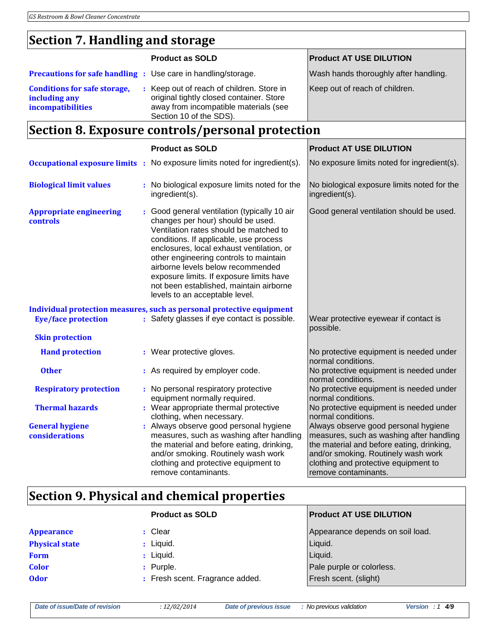## **Section 7. Handling and storage**

|                                                                           | <b>Product as SOLD</b>                                                                                                                                                                                                                                                                                                                                                                                                     | <b>Product AT USE DILUTION</b>                                                                                                                                                                                                       |
|---------------------------------------------------------------------------|----------------------------------------------------------------------------------------------------------------------------------------------------------------------------------------------------------------------------------------------------------------------------------------------------------------------------------------------------------------------------------------------------------------------------|--------------------------------------------------------------------------------------------------------------------------------------------------------------------------------------------------------------------------------------|
| <b>Precautions for safe handling :</b> Use care in handling/storage.      |                                                                                                                                                                                                                                                                                                                                                                                                                            | Wash hands thoroughly after handling.                                                                                                                                                                                                |
| <b>Conditions for safe storage,</b><br>including any<br>incompatibilities | : Keep out of reach of children. Store in<br>original tightly closed container. Store<br>away from incompatible materials (see<br>Section 10 of the SDS).                                                                                                                                                                                                                                                                  | Keep out of reach of children.                                                                                                                                                                                                       |
|                                                                           | Section 8. Exposure controls/personal protection                                                                                                                                                                                                                                                                                                                                                                           |                                                                                                                                                                                                                                      |
|                                                                           | <b>Product as SOLD</b>                                                                                                                                                                                                                                                                                                                                                                                                     | <b>Product AT USE DILUTION</b>                                                                                                                                                                                                       |
|                                                                           | <b>Occupational exposure limits</b> : No exposure limits noted for ingredient(s).                                                                                                                                                                                                                                                                                                                                          | No exposure limits noted for ingredient(s).                                                                                                                                                                                          |
| <b>Biological limit values</b>                                            | : No biological exposure limits noted for the<br>ingredient(s).                                                                                                                                                                                                                                                                                                                                                            | No biological exposure limits noted for the<br>ingredient(s).                                                                                                                                                                        |
| <b>Appropriate engineering</b><br>controls                                | : Good general ventilation (typically 10 air<br>changes per hour) should be used.<br>Ventilation rates should be matched to<br>conditions. If applicable, use process<br>enclosures, local exhaust ventilation, or<br>other engineering controls to maintain<br>airborne levels below recommended<br>exposure limits. If exposure limits have<br>not been established, maintain airborne<br>levels to an acceptable level. | Good general ventilation should be used.                                                                                                                                                                                             |
| <b>Eye/face protection</b>                                                | Individual protection measures, such as personal protective equipment<br>: Safety glasses if eye contact is possible.                                                                                                                                                                                                                                                                                                      | Wear protective eyewear if contact is<br>possible.                                                                                                                                                                                   |
| <b>Skin protection</b>                                                    |                                                                                                                                                                                                                                                                                                                                                                                                                            |                                                                                                                                                                                                                                      |
| <b>Hand protection</b>                                                    | : Wear protective gloves.                                                                                                                                                                                                                                                                                                                                                                                                  | No protective equipment is needed under<br>normal conditions.                                                                                                                                                                        |
| <b>Other</b>                                                              | : As required by employer code.                                                                                                                                                                                                                                                                                                                                                                                            | No protective equipment is needed under<br>normal conditions.                                                                                                                                                                        |
| <b>Respiratory protection</b>                                             | : No personal respiratory protective<br>equipment normally required.                                                                                                                                                                                                                                                                                                                                                       | No protective equipment is needed under<br>normal conditions.                                                                                                                                                                        |
| <b>Thermal hazards</b>                                                    | : Wear appropriate thermal protective<br>clothing, when necessary.                                                                                                                                                                                                                                                                                                                                                         | No protective equipment is needed under<br>normal conditions.                                                                                                                                                                        |
| <b>General hygiene</b><br>considerations                                  | : Always observe good personal hygiene<br>measures, such as washing after handling<br>the material and before eating, drinking,<br>and/or smoking. Routinely wash work<br>clothing and protective equipment to<br>remove contaminants.                                                                                                                                                                                     | Always observe good personal hygiene<br>measures, such as washing after handling<br>the material and before eating, drinking,<br>and/or smoking. Routinely wash work<br>clothing and protective equipment to<br>remove contaminants. |

# **Section 9. Physical and chemical properties**

|                       | <b>Product as SOLD</b>          | <b>Product AT USE DILUTION</b>   |
|-----------------------|---------------------------------|----------------------------------|
| <b>Appearance</b>     | : Clear                         | Appearance depends on soil load. |
| <b>Physical state</b> | $:$ Liquid.                     | Liquid.                          |
| <b>Form</b>           | $:$ Liquid.                     | Liquid.                          |
| <b>Color</b>          | $:$ Purple.                     | Pale purple or colorless.        |
| <b>Odor</b>           | : Fresh scent. Fragrance added. | Fresh scent. (slight)            |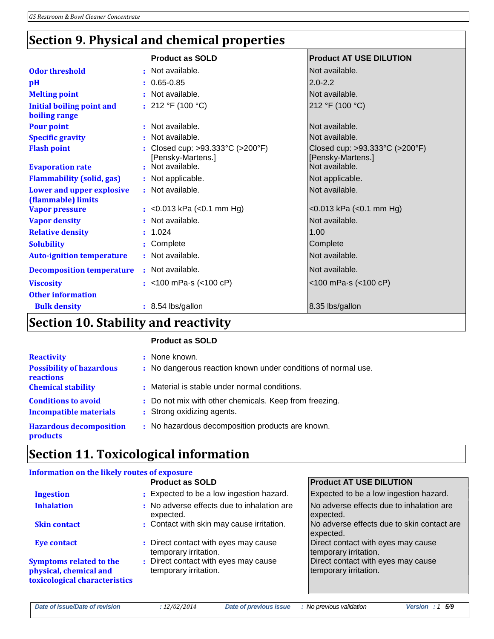## **Section 9. Physical and chemical properties**

|                                                   | <b>Product as SOLD</b>                                                    | <b>Product AT USE DILUTION</b>                      |
|---------------------------------------------------|---------------------------------------------------------------------------|-----------------------------------------------------|
| <b>Odor threshold</b>                             | : Not available.                                                          | Not available.                                      |
|                                                   |                                                                           |                                                     |
| pH                                                | $: 0.65 - 0.85$                                                           | $2.0 - 2.2$                                         |
| <b>Melting point</b>                              | : Not available.                                                          | Not available.                                      |
| <b>Initial boiling point and</b><br>boiling range | : $212 °F (100 °C)$                                                       | 212 °F (100 °C)                                     |
| <b>Pour point</b>                                 | : Not available.                                                          | Not available.                                      |
| <b>Specific gravity</b>                           | : Not available.                                                          | Not available.                                      |
| <b>Flash point</b>                                | : Closed cup: $>93.333^{\circ}C$ ( $>200^{\circ}F$ )<br>[Pensky-Martens.] | Closed cup: >93.333°C (>200°F)<br>[Pensky-Martens.] |
| <b>Evaporation rate</b>                           | : Not available.                                                          | Not available.                                      |
| <b>Flammability (solid, gas)</b>                  | : Not applicable.                                                         | Not applicable.                                     |
| Lower and upper explosive<br>(flammable) limits   | : Not available.                                                          | Not available.                                      |
| <b>Vapor pressure</b>                             | : < $0.013$ kPa (< $0.1$ mm Hg)                                           | <0.013 kPa (<0.1 mm Hg)                             |
| <b>Vapor density</b>                              | : Not available.                                                          | Not available.                                      |
| <b>Relative density</b>                           | : 1.024                                                                   | 1.00                                                |
| <b>Solubility</b>                                 | : Complete                                                                | Complete                                            |
| <b>Auto-ignition temperature</b>                  | : Not available.                                                          | Not available.                                      |
| <b>Decomposition temperature</b>                  | : Not available.                                                          | Not available.                                      |
| <b>Viscosity</b>                                  | : $<$ 100 mPa $\cdot$ s ( $<$ 100 cP)                                     | $<$ 100 mPa $\cdot$ s ( $<$ 100 cP)                 |
| <b>Other information</b>                          |                                                                           |                                                     |
| <b>Bulk density</b>                               | : 8.54 lbs/gallon                                                         | 8.35 lbs/gallon                                     |
| .                                                 |                                                                           |                                                     |

#### **Section 10. Stability and reactivity**

#### **Product as SOLD**

| <b>Reactivity</b>                                           | : None known.                                                                        |
|-------------------------------------------------------------|--------------------------------------------------------------------------------------|
| <b>Possibility of hazardous</b><br><b>reactions</b>         | : No dangerous reaction known under conditions of normal use.                        |
| <b>Chemical stability</b>                                   | : Material is stable under normal conditions.                                        |
| <b>Conditions to avoid</b><br><b>Incompatible materials</b> | : Do not mix with other chemicals. Keep from freezing.<br>: Strong oxidizing agents. |
| <b>Hazardous decomposition</b><br>products                  | : No hazardous decomposition products are known.                                     |
|                                                             |                                                                                      |

## **Section 11. Toxicological information**

### **Information on the likely routes of exposure**

|                                                                                           | <b>Product as SOLD</b>                                        | <b>Product AT USE DILUTION</b>                              |
|-------------------------------------------------------------------------------------------|---------------------------------------------------------------|-------------------------------------------------------------|
| <b>Ingestion</b>                                                                          | : Expected to be a low ingestion hazard.                      | Expected to be a low ingestion hazard.                      |
| <b>Inhalation</b>                                                                         | : No adverse effects due to inhalation are<br>expected.       | No adverse effects due to inhalation are<br>expected.       |
| <b>Skin contact</b>                                                                       | : Contact with skin may cause irritation.                     | No adverse effects due to skin contact are<br>expected.     |
| <b>Eye contact</b>                                                                        | : Direct contact with eyes may cause<br>temporary irritation. | Direct contact with eyes may cause<br>temporary irritation. |
| <b>Symptoms related to the</b><br>physical, chemical and<br>toxicological characteristics | : Direct contact with eyes may cause<br>temporary irritation. | Direct contact with eyes may cause<br>temporary irritation. |

*Date of issue/Date of revision : 12/02/2014 Date of previous issue : No previous validation Version : 1 5/9*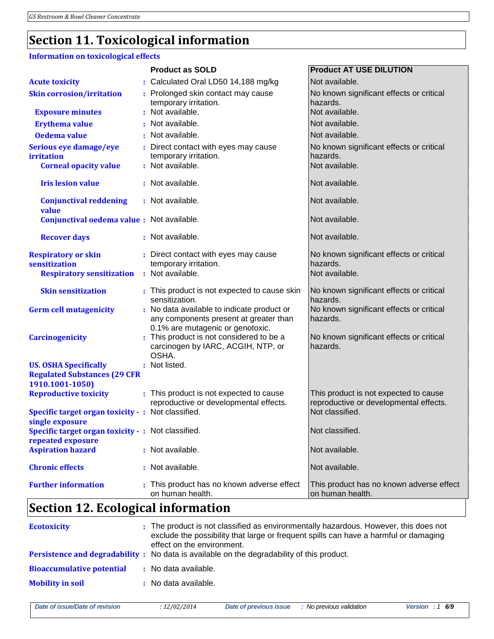## **Section 11. Toxicological information**

#### **Information on toxicological effects**

|                                                                       | <b>Product as SOLD</b>                                                                                                      | <b>Product AT USE DILUTION</b>                                         |
|-----------------------------------------------------------------------|-----------------------------------------------------------------------------------------------------------------------------|------------------------------------------------------------------------|
| <b>Acute toxicity</b>                                                 | : Calculated Oral LD50 14,188 mg/kg                                                                                         | Not available.                                                         |
| <b>Skin corrosion/irritation</b>                                      | : Prolonged skin contact may cause<br>temporary irritation.                                                                 | No known significant effects or critical<br>hazards.                   |
| <b>Exposure minutes</b>                                               | : Not available.                                                                                                            | Not available.                                                         |
| <b>Erythema value</b>                                                 | : Not available.                                                                                                            | Not available.                                                         |
| Oedema value                                                          | : Not available.                                                                                                            | Not available.                                                         |
| Serious eye damage/eye<br>irritation<br><b>Corneal opacity value</b>  | : Direct contact with eyes may cause<br>temporary irritation.<br>: Not available.                                           | No known significant effects or critical<br>hazards.<br>Not available. |
| <b>Iris lesion value</b>                                              | : Not available.                                                                                                            | Not available.                                                         |
| <b>Conjunctival reddening</b><br>value                                | : Not available.                                                                                                            | Not available.                                                         |
| Conjunctival oedema value : Not available.                            |                                                                                                                             | Not available.                                                         |
| <b>Recover days</b>                                                   | : Not available.                                                                                                            | Not available.                                                         |
| <b>Respiratory or skin</b>                                            | : Direct contact with eyes may cause                                                                                        | No known significant effects or critical                               |
| sensitization                                                         | temporary irritation.                                                                                                       | hazards.                                                               |
| <b>Respiratory sensitization</b>                                      | : Not available.                                                                                                            | Not available.                                                         |
| <b>Skin sensitization</b>                                             | : This product is not expected to cause skin<br>sensitization.                                                              | No known significant effects or critical<br>hazards.                   |
| <b>Germ cell mutagenicity</b>                                         | : No data available to indicate product or<br>any components present at greater than                                        | No known significant effects or critical<br>hazards.                   |
| <b>Carcinogenicity</b>                                                | 0.1% are mutagenic or genotoxic.<br>: This product is not considered to be a<br>carcinogen by IARC, ACGIH, NTP, or<br>OSHA. | No known significant effects or critical<br>hazards.                   |
| <b>US. OSHA Specifically</b>                                          | : Not listed.                                                                                                               |                                                                        |
| <b>Regulated Substances (29 CFR</b>                                   |                                                                                                                             |                                                                        |
| 1910.1001-1050)                                                       |                                                                                                                             |                                                                        |
| <b>Reproductive toxicity</b>                                          | : This product is not expected to cause                                                                                     | This product is not expected to cause                                  |
| Specific target organ toxicity - : Not classified.<br>single exposure | reproductive or developmental effects.                                                                                      | reproductive or developmental effects.<br>Not classified.              |
| Specific target organ toxicity - : Not classified.                    |                                                                                                                             | Not classified.                                                        |
| repeated exposure                                                     |                                                                                                                             |                                                                        |
| <b>Aspiration hazard</b>                                              | : Not available.                                                                                                            | Not available.                                                         |
| <b>Chronic effects</b>                                                | : Not available.                                                                                                            | Not available.                                                         |
| <b>Further information</b>                                            | : This product has no known adverse effect<br>on human health.                                                              | This product has no known adverse effect<br>on human health.           |
|                                                                       |                                                                                                                             |                                                                        |

## **Section 12. Ecological information**

| <b>Ecotoxicity</b>               | : The product is not classified as environmentally hazardous. However, this does not<br>exclude the possibility that large or frequent spills can have a harmful or damaging<br>effect on the environment. |
|----------------------------------|------------------------------------------------------------------------------------------------------------------------------------------------------------------------------------------------------------|
|                                  | Persistence and degradability : No data is available on the degradability of this product.                                                                                                                 |
| <b>Bioaccumulative potential</b> | : No data available.                                                                                                                                                                                       |
| <b>Mobility in soil</b>          | : No data available.                                                                                                                                                                                       |

| ate of issue/Date of revision |
|-------------------------------|
|-------------------------------|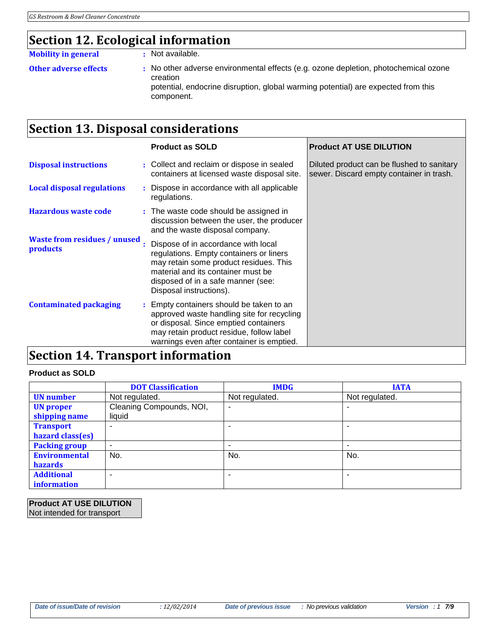## **Section 12. Ecological information**

#### **Mobility in general :** Not available.

- 
- **Other adverse effects :** No other adverse environmental effects (e.g. ozone depletion, photochemical ozone creation potential, endocrine disruption, global warming potential) are expected from this component.

## **Section 13. Disposal considerations**

|                                                 | <b>Product as SOLD</b>                                                                                                                                                                                                          | <b>Product AT USE DILUTION</b>                                                         |
|-------------------------------------------------|---------------------------------------------------------------------------------------------------------------------------------------------------------------------------------------------------------------------------------|----------------------------------------------------------------------------------------|
| <b>Disposal instructions</b>                    | : Collect and reclaim or dispose in sealed<br>containers at licensed waste disposal site.                                                                                                                                       | Diluted product can be flushed to sanitary<br>sewer. Discard empty container in trash. |
| <b>Local disposal regulations</b>               | : Dispose in accordance with all applicable<br>regulations.                                                                                                                                                                     |                                                                                        |
| <b>Hazardous waste code</b>                     | : The waste code should be assigned in<br>discussion between the user, the producer<br>and the waste disposal company.                                                                                                          |                                                                                        |
| <b>Waste from residues / unused</b><br>products | Dispose of in accordance with local<br>regulations. Empty containers or liners<br>may retain some product residues. This<br>material and its container must be<br>disposed of in a safe manner (see:<br>Disposal instructions). |                                                                                        |
| <b>Contaminated packaging</b>                   | : Empty containers should be taken to an<br>approved waste handling site for recycling<br>or disposal. Since emptied containers<br>may retain product residue, follow label<br>warnings even after container is emptied.        |                                                                                        |
| Soction 14 Transport information                |                                                                                                                                                                                                                                 |                                                                                        |

## **Section 14. Transport information**

#### **Product as SOLD**

|                                         | <b>DOT Classification</b>          | <b>IMDG</b>              | <b>IATA</b>    |
|-----------------------------------------|------------------------------------|--------------------------|----------------|
| <b>UN</b> number                        | Not regulated.                     | Not regulated.           | Not regulated. |
| <b>UN</b> proper<br>shipping name       | Cleaning Compounds, NOI,<br>liquid | $\overline{\phantom{a}}$ |                |
| <b>Transport</b><br>hazard class(es)    |                                    |                          |                |
| <b>Packing group</b>                    | ۰                                  |                          |                |
| <b>Environmental</b><br><b>hazards</b>  | No.                                | No.                      | No.            |
| <b>Additional</b><br><i>information</i> | -                                  | $\overline{\phantom{a}}$ |                |

**Product AT USE DILUTION** Not intended for transport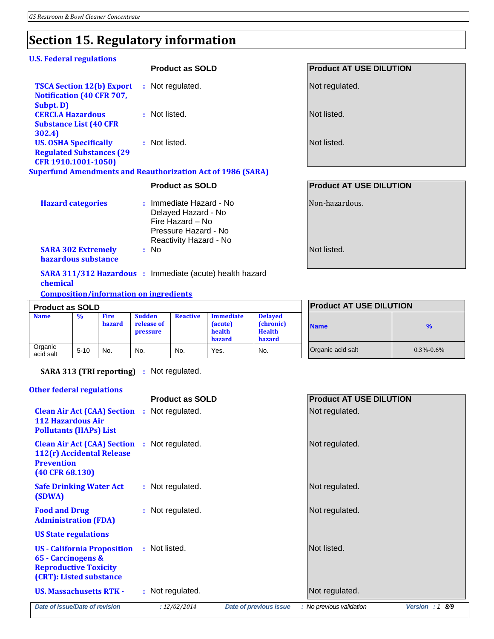# **Section 15. Regulatory information**

#### **U.S. Federal regulations**

|                                                                                         |      | <b>Product as SOLD</b>                                             | <b>Product AT USE DILUTION</b> |
|-----------------------------------------------------------------------------------------|------|--------------------------------------------------------------------|--------------------------------|
| <b>TSCA Section 12(b) Export</b><br><b>Notification (40 CFR 707,</b>                    |      | : Not regulated.                                                   | Not regulated.                 |
| Subpt. D)<br><b>CERCLA Hazardous</b><br><b>Substance List (40 CFR)</b><br>302.4)        |      | : Not listed.                                                      | Not listed.                    |
| <b>US. OSHA Specifically</b><br><b>Regulated Substances (29)</b><br>CFR 1910.1001-1050) |      | : Not listed.                                                      | Not listed.                    |
|                                                                                         |      | <b>Superfund Amendments and Reauthorization Act of 1986 (SARA)</b> |                                |
|                                                                                         |      | <b>Product as SOLD</b>                                             | <b>Product AT USE DILUTION</b> |
| <b>Hazard categories</b>                                                                |      | : Immediate Hazard - No<br>Delayed Hazard - No<br>Fire Hazard - No | Non-hazardous.                 |
|                                                                                         |      | Pressure Hazard - No<br>Reactivity Hazard - No                     |                                |
| <b>SARA 302 Extremely</b><br>hazardous substance                                        | : No |                                                                    | Not listed.                    |

**Composition/information on ingredients**

| <b>Product as SOLD</b> |               |                              |                                         |                 |                                                        |                                                               |
|------------------------|---------------|------------------------------|-----------------------------------------|-----------------|--------------------------------------------------------|---------------------------------------------------------------|
| <b>Name</b>            | $\frac{0}{0}$ | <b>Fire</b><br><b>hazard</b> | <b>Sudden</b><br>release of<br>pressure | <b>Reactive</b> | <b>Immediate</b><br>(acute)<br>health<br><b>hazard</b> | <b>Delayed</b><br>(chronic)<br><b>Health</b><br><b>hazard</b> |
| Organic<br>acid salt   | $5 - 10$      | No.                          | No.                                     | No.             | Yes.                                                   | No.                                                           |

| <b>Product AT USE DILUTION</b> |                 |  |  |
|--------------------------------|-----------------|--|--|
| <b>Name</b>                    | %               |  |  |
| Organic acid salt              | $0.3\% - 0.6\%$ |  |  |

**SARA 313 (TRI reporting) :** Not regulated.

#### **Other federal regulations**

|                                                                                                                              | <b>Product as SOLD</b>                        | <b>Product AT USE DILUTION</b>               |
|------------------------------------------------------------------------------------------------------------------------------|-----------------------------------------------|----------------------------------------------|
| <b>Clean Air Act (CAA) Section : Not regulated.</b><br><b>112 Hazardous Air</b><br><b>Pollutants (HAPs) List</b>             |                                               | Not regulated.                               |
| <b>Clean Air Act (CAA) Section : Not regulated.</b><br>112(r) Accidental Release<br><b>Prevention</b><br>$(40$ CFR $68.130)$ |                                               | Not regulated.                               |
| <b>Safe Drinking Water Act</b><br>(SDWA)                                                                                     | : Not regulated.                              | Not regulated.                               |
| <b>Food and Drug</b><br><b>Administration (FDA)</b>                                                                          | : Not regulated.                              | Not regulated.                               |
| <b>US State regulations</b>                                                                                                  |                                               |                                              |
| <b>US - California Proposition</b><br>65 - Carcinogens &<br><b>Reproductive Toxicity</b><br>(CRT): Listed substance          | : Not listed.                                 | Not listed.                                  |
| <b>US. Massachusetts RTK -</b>                                                                                               | : Not regulated.                              | Not regulated.                               |
| Date of issue/Date of revision                                                                                               | <b>Date of previous issue</b><br>: 12/02/2014 | : No previous validation<br>Version : $18/9$ |